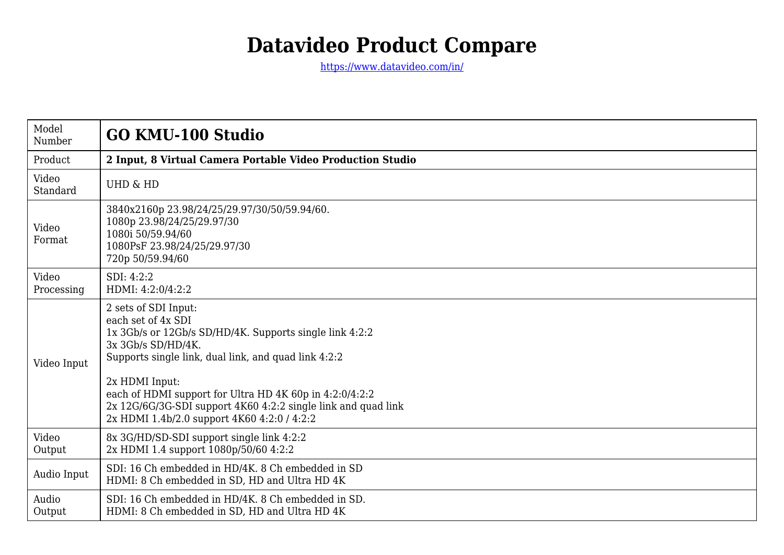## **Datavideo Product Compare**

<https://www.datavideo.com/in/>

| Model<br>Number     | <b>GO KMU-100 Studio</b>                                                                                                                                                                                                                                                                                                                                                         |
|---------------------|----------------------------------------------------------------------------------------------------------------------------------------------------------------------------------------------------------------------------------------------------------------------------------------------------------------------------------------------------------------------------------|
| Product             | 2 Input, 8 Virtual Camera Portable Video Production Studio                                                                                                                                                                                                                                                                                                                       |
| Video<br>Standard   | <b>UHD &amp; HD</b>                                                                                                                                                                                                                                                                                                                                                              |
| Video<br>Format     | 3840x2160p 23.98/24/25/29.97/30/50/59.94/60.<br>1080p 23.98/24/25/29.97/30<br>1080i 50/59.94/60<br>1080PsF 23.98/24/25/29.97/30<br>720p 50/59.94/60                                                                                                                                                                                                                              |
| Video<br>Processing | SDI: 4:2:2<br>HDMI: 4:2:0/4:2:2                                                                                                                                                                                                                                                                                                                                                  |
| Video Input         | 2 sets of SDI Input:<br>each set of 4x SDI<br>1x 3Gb/s or 12Gb/s SD/HD/4K. Supports single link 4:2:2<br>3x 3Gb/s SD/HD/4K.<br>Supports single link, dual link, and quad link 4:2:2<br>2x HDMI Input:<br>each of HDMI support for Ultra HD 4K 60p in 4:2:0/4:2:2<br>2x 12G/6G/3G-SDI support 4K60 4:2:2 single link and quad link<br>2x HDMI 1.4b/2.0 support 4K60 4:2:0 / 4:2:2 |
| Video<br>Output     | 8x 3G/HD/SD-SDI support single link 4:2:2<br>2x HDMI 1.4 support 1080p/50/60 4:2:2                                                                                                                                                                                                                                                                                               |
| Audio Input         | SDI: 16 Ch embedded in HD/4K, 8 Ch embedded in SD<br>HDMI: 8 Ch embedded in SD, HD and Ultra HD 4K                                                                                                                                                                                                                                                                               |
| Audio<br>Output     | SDI: 16 Ch embedded in HD/4K. 8 Ch embedded in SD.<br>HDMI: 8 Ch embedded in SD, HD and Ultra HD 4K                                                                                                                                                                                                                                                                              |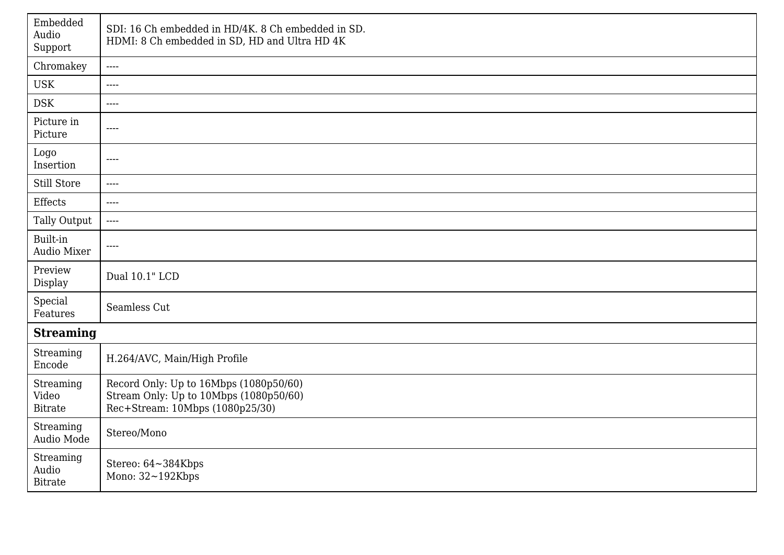| Embedded<br>Audio<br>Support         | SDI: 16 Ch embedded in HD/4K. 8 Ch embedded in SD.<br>HDMI: 8 Ch embedded in SD, HD and Ultra HD 4K                 |  |
|--------------------------------------|---------------------------------------------------------------------------------------------------------------------|--|
| Chromakey                            | $\qquad \qquad - - -$                                                                                               |  |
| <b>USK</b>                           | $\cdots$                                                                                                            |  |
| <b>DSK</b>                           | $---$                                                                                                               |  |
| Picture in<br>Picture                | $\cdots$                                                                                                            |  |
| Logo<br>Insertion                    | $\cdots$                                                                                                            |  |
| Still Store                          | $\cdots$                                                                                                            |  |
| Effects                              | $\cdots$                                                                                                            |  |
| Tally Output                         | $\cdots$                                                                                                            |  |
| Built-in<br><b>Audio Mixer</b>       | $\cdots$                                                                                                            |  |
| Preview<br>Display                   | Dual 10.1" LCD                                                                                                      |  |
| Special<br>Features                  | Seamless Cut                                                                                                        |  |
| <b>Streaming</b>                     |                                                                                                                     |  |
| Streaming<br>Encode                  | H.264/AVC, Main/High Profile                                                                                        |  |
| Streaming<br>Video<br><b>Bitrate</b> | Record Only: Up to 16Mbps (1080p50/60)<br>Stream Only: Up to 10Mbps (1080p50/60)<br>Rec+Stream: 10Mbps (1080p25/30) |  |
| Streaming<br>Audio Mode              | Stereo/Mono                                                                                                         |  |
| Streaming<br>Audio<br><b>Bitrate</b> | Stereo: 64~384Kbps<br>Mono: $32 - 192$ Kbps                                                                         |  |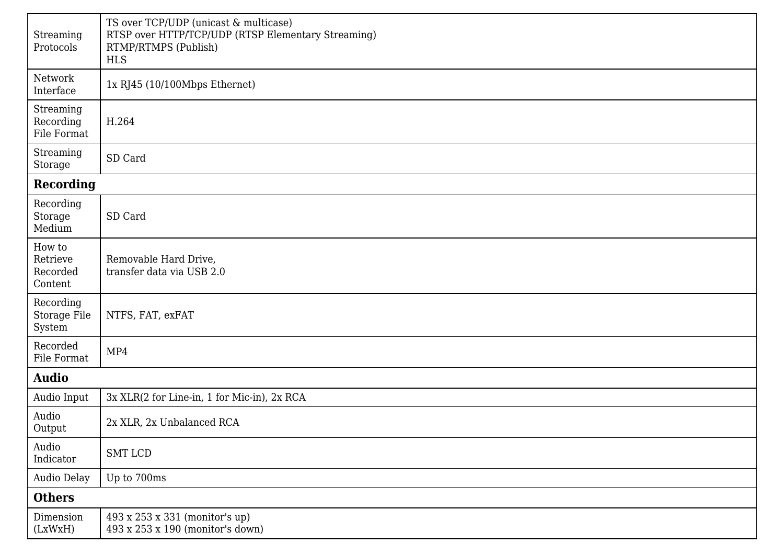| Streaming<br>Protocols                                                                                                                                                                                                                            | TS over TCP/UDP (unicast & multicase)<br>RTSP over HTTP/TCP/UDP (RTSP Elementary Streaming)<br>RTMP/RTMPS (Publish)<br><b>HLS</b> |  |
|---------------------------------------------------------------------------------------------------------------------------------------------------------------------------------------------------------------------------------------------------|-----------------------------------------------------------------------------------------------------------------------------------|--|
| Network<br>Interface                                                                                                                                                                                                                              | 1x RJ45 (10/100Mbps Ethernet)                                                                                                     |  |
| Streaming<br>Recording<br>File Format                                                                                                                                                                                                             | H.264                                                                                                                             |  |
| Streaming<br>Storage                                                                                                                                                                                                                              | SD Card                                                                                                                           |  |
| <b>Recording</b>                                                                                                                                                                                                                                  |                                                                                                                                   |  |
| Recording<br>Storage<br>$\operatorname*{Median}% \operatorname*{diag}\left( \mathcal{N}\right) \equiv\operatorname*{diag}\left( \mathcal{N}\right) ,\ \mathcal{N}\left( \mathcal{N}\right) \equiv\operatorname*{diag}\left( \mathcal{N}\right) ,$ | SD Card                                                                                                                           |  |
| How to<br>Retrieve<br>Recorded<br>Content                                                                                                                                                                                                         | Removable Hard Drive,<br>transfer data via USB 2.0                                                                                |  |
| Recording<br>Storage File<br>System                                                                                                                                                                                                               | NTFS, FAT, exFAT                                                                                                                  |  |
| Recorded<br>File Format                                                                                                                                                                                                                           | MP4                                                                                                                               |  |
| <b>Audio</b>                                                                                                                                                                                                                                      |                                                                                                                                   |  |
| Audio Input                                                                                                                                                                                                                                       | 3x XLR(2 for Line-in, 1 for Mic-in), 2x RCA                                                                                       |  |
| Audio<br>Output                                                                                                                                                                                                                                   | 2x XLR, 2x Unbalanced RCA                                                                                                         |  |
| Audio<br>Indicator                                                                                                                                                                                                                                | SMT LCD                                                                                                                           |  |
| Audio Delay                                                                                                                                                                                                                                       | Up to 700ms                                                                                                                       |  |
| <b>Others</b>                                                                                                                                                                                                                                     |                                                                                                                                   |  |
| Dimension<br>(LxWxH)                                                                                                                                                                                                                              | 493 x 253 x 331 (monitor's up)<br>493 x 253 x 190 (monitor's down)                                                                |  |